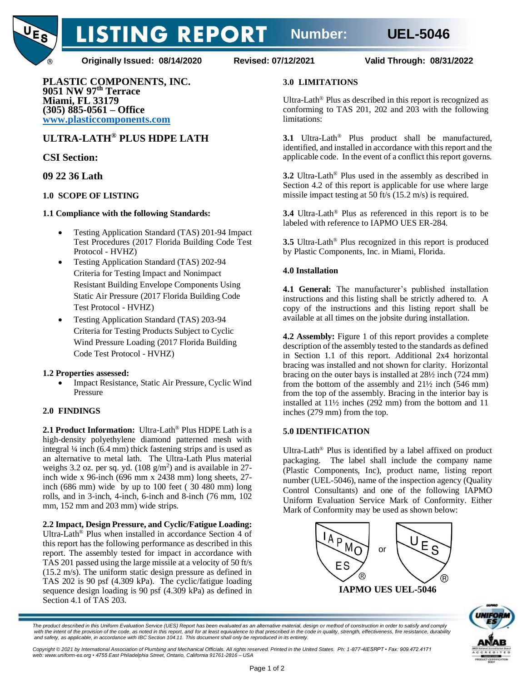

**Originally Issued: 08/14/2020 Revised: 07/12/2021 Valid Through: 08/31/2022**

**LISTING REPORT** 

**PLASTIC COMPONENTS, INC. 9051 NW 97th Terrace Miami, FL 33179 (305) 885-0561 – Office [www.plasticcomponents.com](http://www.plasticcomponents.com/)**

# **ULTRA-LATH® PLUS HDPE LATH**

# **CSI Section:**

# **09 22 36 Lath**

### **1.0 SCOPE OF LISTING**

### **1.1 Compliance with the following Standards:**

- Testing Application Standard (TAS) 201-94 Impact Test Procedures (2017 Florida Building Code Test Protocol - HVHZ)
- Testing Application Standard (TAS) 202-94 Criteria for Testing Impact and Nonimpact Resistant Building Envelope Components Using Static Air Pressure (2017 Florida Building Code Test Protocol - HVHZ)
- Testing Application Standard (TAS) 203-94 Criteria for Testing Products Subject to Cyclic Wind Pressure Loading (2017 Florida Building Code Test Protocol - HVHZ)

### **1.2 Properties assessed:**

• Impact Resistance, Static Air Pressure, Cyclic Wind Pressure

### **2.0 FINDINGS**

**2.1 Product Information:** Ultra-Lath® Plus HDPE Lath is a high-density polyethylene diamond patterned mesh with integral ¼ inch (6.4 mm) thick fastening strips and is used as an alternative to metal lath. The Ultra-Lath Plus material weighs 3.2 oz. per sq. yd.  $(108 \text{ g/m}^2)$  and is available in 27inch wide x 96-inch (696 mm x 2438 mm) long sheets, 27 inch (686 mm) wide by up to 100 feet ( 30 480 mm) long rolls, and in 3-inch, 4-inch, 6-inch and 8-inch (76 mm, 102 mm, 152 mm and 203 mm) wide strips.

**2.2 Impact, Design Pressure, and Cyclic/Fatigue Loading:** Ultra-Lath® Plus when installed in accordance Section 4 of this report has the following performance as described in this report. The assembly tested for impact in accordance with TAS 201 passed using the large missile at a velocity of 50 ft/s (15.2 m/s). The uniform static design pressure as defined in TAS 202 is 90 psf (4.309 kPa). The cyclic/fatigue loading sequence design loading is 90 psf (4.309 kPa) as defined in Section 4.1 of TAS 203.

### **3.0 LIMITATIONS**

Ultra-Lath® Plus as described in this report is recognized as conforming to TAS 201, 202 and 203 with the following limitations:

**3.1** Ultra-Lath® Plus product shall be manufactured, identified, and installed in accordance with this report and the applicable code. In the event of a conflict this report governs.

**3.2** Ultra-Lath® Plus used in the assembly as described in Section 4.2 of this report is applicable for use where large missile impact testing at 50 ft/s (15.2 m/s) is required.

**3.4** Ultra-Lath® Plus as referenced in this report is to be labeled with reference to IAPMO UES ER-284.

**3.5** Ultra-Lath® Plus recognized in this report is produced by Plastic Components, Inc. in Miami, Florida.

### **4.0 Installation**

**4.1 General:** The manufacturer's published installation instructions and this listing shall be strictly adhered to. A copy of the instructions and this listing report shall be available at all times on the jobsite during installation.

**4.2 Assembly:** Figure 1 of this report provides a complete description of the assembly tested to the standards as defined in Section 1.1 of this report. Additional 2x4 horizontal bracing was installed and not shown for clarity. Horizontal bracing on the outer bays is installed at 28½ inch (724 mm) from the bottom of the assembly and 21½ inch (546 mm) from the top of the assembly. Bracing in the interior bay is installed at 11½ inches (292 mm) from the bottom and 11 inches (279 mm) from the top.

### **5.0 IDENTIFICATION**

Ultra-Lath® Plus is identified by a label affixed on product packaging. The label shall include the company name (Plastic Components, Inc), product name, listing report number (UEL-5046), name of the inspection agency (Quality Control Consultants) and one of the following IAPMO Uniform Evaluation Service Mark of Conformity. Either Mark of Conformity may be used as shown below:





*The product described in this Uniform Evaluation Service (UES) Report has been evaluated as an alternative material, design or method of construction in order to satisfy and comply* with the intent of the provision of the code, as noted in this report, and for at least equivalence to that prescribed in the code in quality, strength, effectiveness, fire resistance, durability *and safety, as applicable, in accordance with IBC Section 104.11. This document shall only be reproduced in its entirety.* 

*Copyright © 2021 by International Association of Plumbing and Mechanical Officials. All rights reserved. Printed in the United States. Ph: 1-877-4IESRPT • Fax: 909.472.4171 web: www.uniform-es.org • 4755 East Philadelphia Street, Ontario, California 91761-2816 – USA*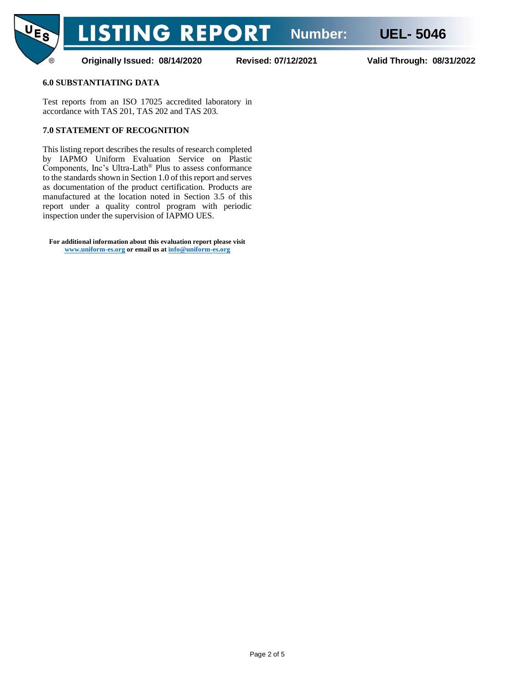

**Originally Issued: 08/14/2020 Revised: 07/12/2021 Valid Through: 08/31/2022**

#### **6.0 SUBSTANTIATING DATA**

Test reports from an ISO 17025 accredited laboratory in accordance with TAS 201, TAS 202 and TAS 203.

#### **7.0 STATEMENT OF RECOGNITION**

This listing report describes the results of research completed by IAPMO Uniform Evaluation Service on Plastic Components, Inc's Ultra-Lath® Plus to assess conformance to the standards shown in Section 1.0 of this report and serves as documentation of the product certification. Products are manufactured at the location noted in Section 3.5 of this report under a quality control program with periodic inspection under the supervision of IAPMO UES.

**For additional information about this evaluation report please visit [www.uniform-es.org](http://www.uniform-es.org/) or email us at [info@uniform-es.org](mailto:info@uniform-es.org)**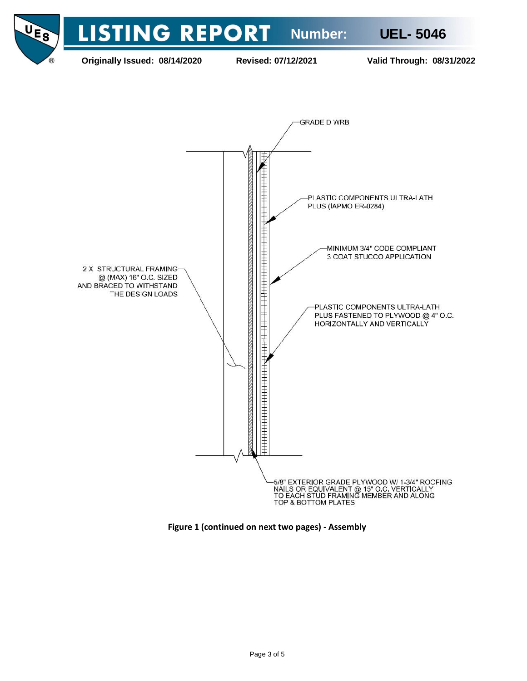

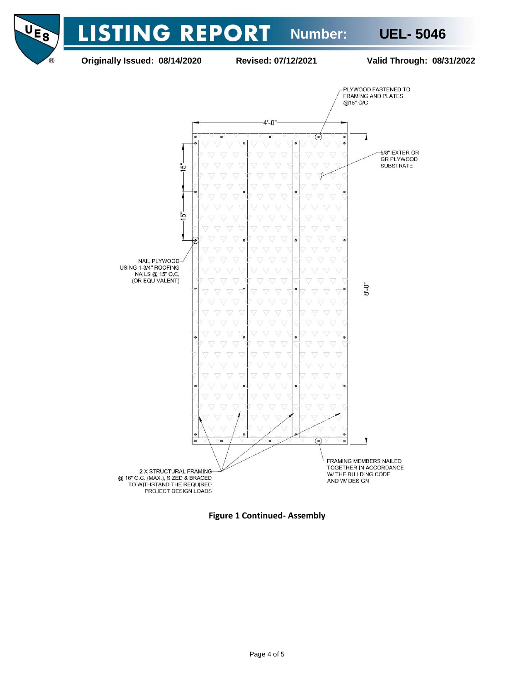**LISTING REPORT Number: UEL- 5046 Originally Issued: 08/14/2020 Revised: 07/12/2021 Valid Through: 08/31/2022** PLYWOOD FASTENED TO FRAMING AND PLATES @15" O/C  $4' - 0''$  $\bullet$ **(e)**  $\bullet$ 5/8" EXTERIOR **GR PLYWOOD SUBSTRATE** ة  $\oint$  $\bullet$ 

UES

 $\bigcirc$ 



**Figure 1 Continued- Assembly**